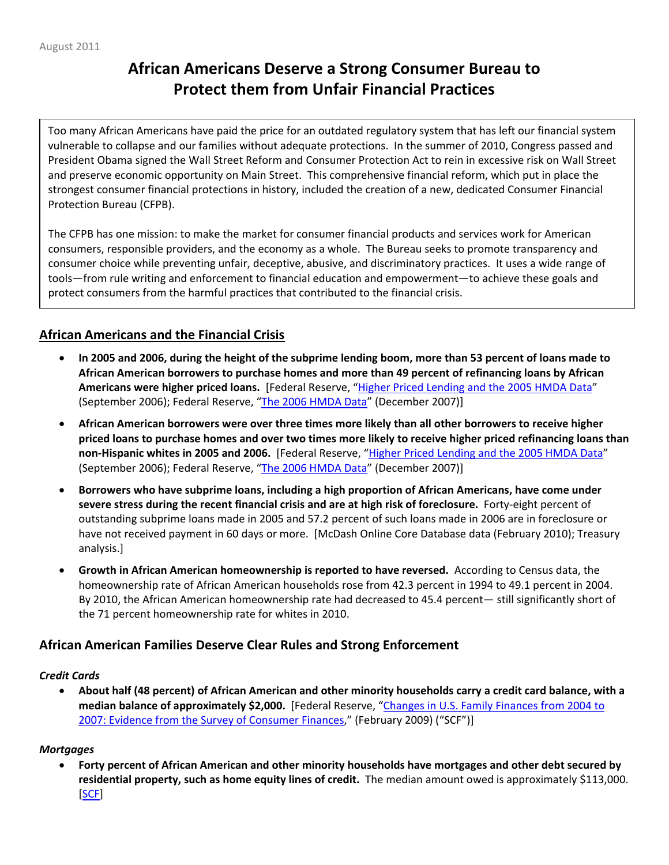# **African Americans Deserve a Strong Consumer Bureau to Protect them from Unfair Financial Practices**

Too many African Americans have paid the price for an outdated regulatory system that has left our financial system vulnerable to collapse and our families without adequate protections. In the summer of 2010, Congress passed and President Obama signed the Wall Street Reform and Consumer Protection Act to rein in excessive risk on Wall Street and preserve economic opportunity on Main Street. This comprehensive financial reform, which put in place the strongest consumer financial protections in history, included the creation of a new, dedicated Consumer Financial Protection Bureau (CFPB).

The CFPB has one mission: to make the market for consumer financial products and services work for American consumers, responsible providers, and the economy as a whole. The Bureau seeks to promote transparency and consumer choice while preventing unfair, deceptive, abusive, and discriminatory practices. It uses a wide range of tools—from rule writing and enforcement to financial education and empowerment—to achieve these goals and protect consumers from the harmful practices that contributed to the financial crisis.

# **African Americans and the Financial Crisis**

- In 2005 and 2006, during the height of the subprime lending boom, more than 53 percent of loans made to **African American borrowers to purchase homes and more than 49 percent of refinancing loans by African Americans were higher priced loans.** [Federal Reserve, "Higher Priced [Lending](http://www.federalreserve.gov/pubs/bulletin/2006/hmda/bull06hmda.pdf) and the 2005 HMDA Data" (September 2006); Federal Reserve, "The 2006 [HMDA](http://www.federalreserve.gov/pubs/bulletin/2007/pdf/hmda06final.pdf) Data" (December 2007)]
- **African American borrowers were over three times more likely than all other borrowers to receive higher** priced loans to purchase homes and over two times more likely to receive higher priced refinancing loans than **non‐Hispanic whites in 2005 and 2006.** [Federal Reserve, "Higher Priced [Lending](http://www.federalreserve.gov/pubs/bulletin/2006/hmda/bull06hmda.pdf) and the 2005 HMDA Data" (September 2006); Federal Reserve, "The 2006 [HMDA](http://www.federalreserve.gov/pubs/bulletin/2007/pdf/hmda06final.pdf) Data" (December 2007)]
- **Borrowers who have subprime loans, including a high proportion of African Americans, have come under severe stress during the recent financial crisis and are at high risk of foreclosure.** Forty‐eight percent of outstanding subprime loans made in 2005 and 57.2 percent of such loans made in 2006 are in foreclosure or have not received payment in 60 days or more. [McDash Online Core Database data (February 2010); Treasury analysis.]
- **Growth in African American homeownership is reported to have reversed.** According to Census data, the homeownership rate of African American households rose from 42.3 percent in 1994 to 49.1 percent in 2004. By 2010, the African American homeownership rate had decreased to 45.4 percent— still significantly short of the 71 percent homeownership rate for whites in 2010.

## **African American Families Deserve Clear Rules and Strong Enforcement**

#### *Credit Cards*

About half (48 percent) of African American and other minority households carry a credit card balance, with a **median balance of approximately \$2,000.** [Federal Reserve, "Changes in U.S. Family [Finances](http://www.federalreserve.gov/pubs/bulletin/2009/pdf/scf09.pdf) from 2004 to 2007: Evidence from the Survey of [Consumer](http://www.federalreserve.gov/pubs/bulletin/2009/pdf/scf09.pdf) Finances," (February 2009) ("SCF")]

#### *Mortgages*

• **Forty percent of African American and other minority households have mortgages and other debt secured by residential property, such as home equity lines of credit.** The median amount owed is approximately \$113,000. [\[SCF](http://www.federalreserve.gov/pubs/bulletin/2009/pdf/scf09.pdf)]